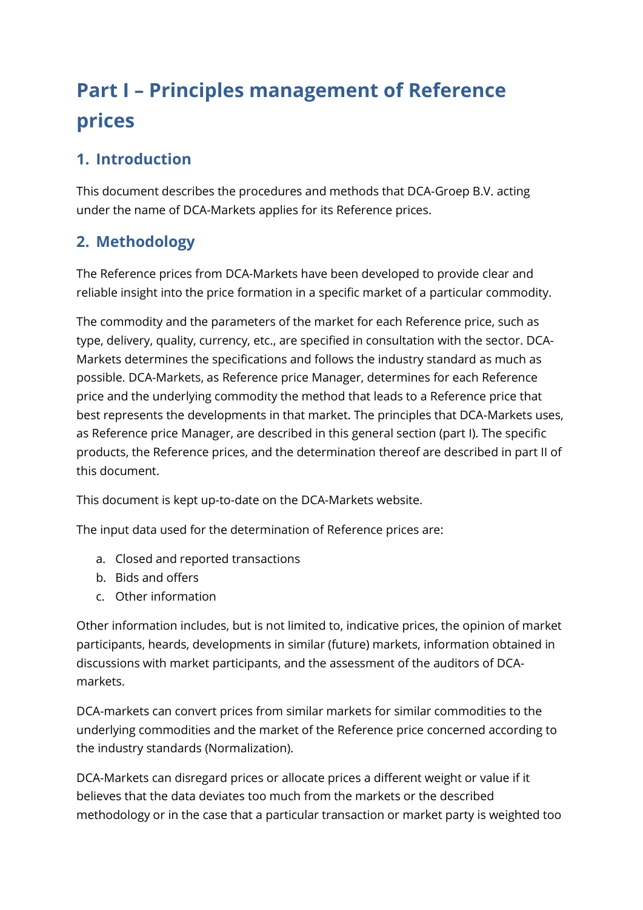# **Part I – Principles management of Reference prices**

## **1. Introduction**

This document describes the procedures and methods that DCA-Groep B.V. acting under the name of DCA-Markets applies for its Reference prices.

## **2. Methodology**

The Reference prices from DCA-Markets have been developed to provide clear and reliable insight into the price formation in a specific market of a particular commodity.

The commodity and the parameters of the market for each Reference price, such as type, delivery, quality, currency, etc., are specified in consultation with the sector. DCA-Markets determines the specifications and follows the industry standard as much as possible. DCA-Markets, as Reference price Manager, determines for each Reference price and the underlying commodity the method that leads to a Reference price that best represents the developments in that market. The principles that DCA-Markets uses, as Reference price Manager, are described in this general section (part I). The specific products, the Reference prices, and the determination thereof are described in part II of this document.

This document is kept up-to-date on the DCA-Markets website.

The input data used for the determination of Reference prices are:

- a. Closed and reported transactions
- b. Bids and offers
- c. Other information

Other information includes, but is not limited to, indicative prices, the opinion of market participants, heards, developments in similar (future) markets, information obtained in discussions with market participants, and the assessment of the auditors of DCAmarkets.

DCA-markets can convert prices from similar markets for similar commodities to the underlying commodities and the market of the Reference price concerned according to the industry standards (Normalization).

DCA-Markets can disregard prices or allocate prices a different weight or value if it believes that the data deviates too much from the markets or the described methodology or in the case that a particular transaction or market party is weighted too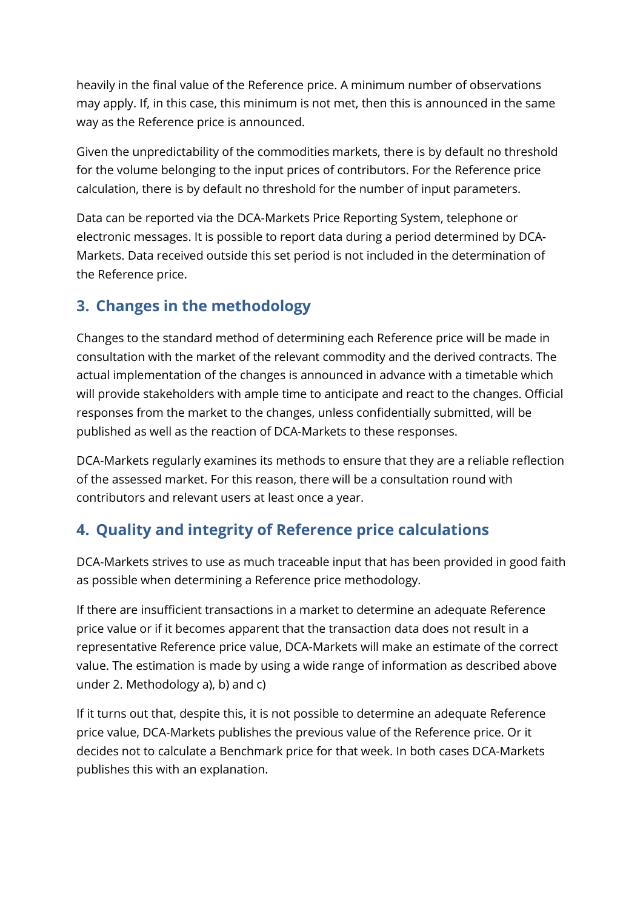heavily in the final value of the Reference price. A minimum number of observations may apply. If, in this case, this minimum is not met, then this is announced in the same way as the Reference price is announced.

Given the unpredictability of the commodities markets, there is by default no threshold for the volume belonging to the input prices of contributors. For the Reference price calculation, there is by default no threshold for the number of input parameters.

Data can be reported via the DCA-Markets Price Reporting System, telephone or electronic messages. It is possible to report data during a period determined by DCA-Markets. Data received outside this set period is not included in the determination of the Reference price.

#### **3. Changes in the methodology**

Changes to the standard method of determining each Reference price will be made in consultation with the market of the relevant commodity and the derived contracts. The actual implementation of the changes is announced in advance with a timetable which will provide stakeholders with ample time to anticipate and react to the changes. Official responses from the market to the changes, unless confidentially submitted, will be published as well as the reaction of DCA-Markets to these responses.

DCA-Markets regularly examines its methods to ensure that they are a reliable reflection of the assessed market. For this reason, there will be a consultation round with contributors and relevant users at least once a year.

## **4. Quality and integrity of Reference price calculations**

DCA-Markets strives to use as much traceable input that has been provided in good faith as possible when determining a Reference price methodology.

If there are insufficient transactions in a market to determine an adequate Reference price value or if it becomes apparent that the transaction data does not result in a representative Reference price value, DCA-Markets will make an estimate of the correct value. The estimation is made by using a wide range of information as described above under 2. Methodology a), b) and c)

If it turns out that, despite this, it is not possible to determine an adequate Reference price value, DCA-Markets publishes the previous value of the Reference price. Or it decides not to calculate a Benchmark price for that week. In both cases DCA-Markets publishes this with an explanation.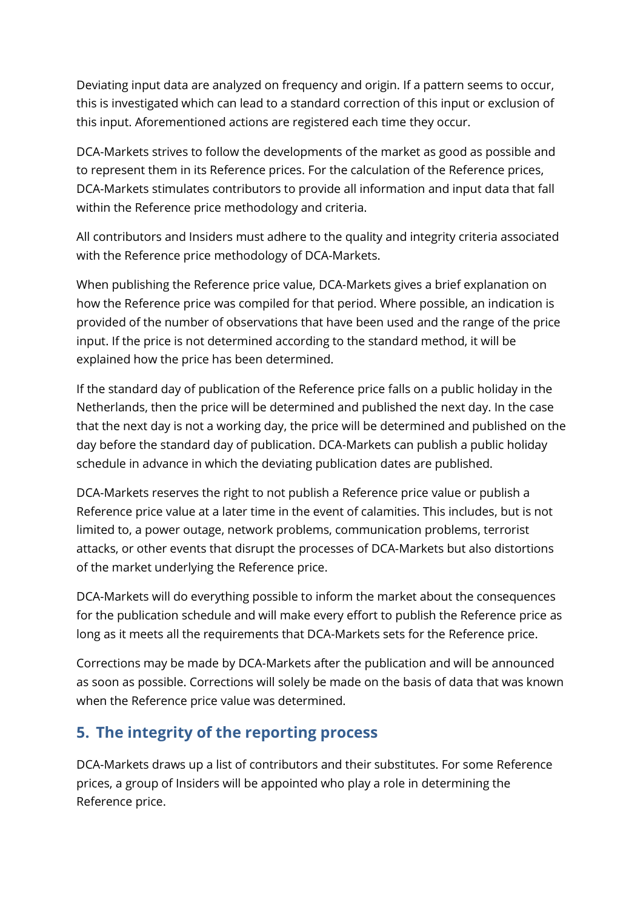Deviating input data are analyzed on frequency and origin. If a pattern seems to occur, this is investigated which can lead to a standard correction of this input or exclusion of this input. Aforementioned actions are registered each time they occur.

DCA-Markets strives to follow the developments of the market as good as possible and to represent them in its Reference prices. For the calculation of the Reference prices, DCA-Markets stimulates contributors to provide all information and input data that fall within the Reference price methodology and criteria.

All contributors and Insiders must adhere to the quality and integrity criteria associated with the Reference price methodology of DCA-Markets.

When publishing the Reference price value, DCA-Markets gives a brief explanation on how the Reference price was compiled for that period. Where possible, an indication is provided of the number of observations that have been used and the range of the price input. If the price is not determined according to the standard method, it will be explained how the price has been determined.

If the standard day of publication of the Reference price falls on a public holiday in the Netherlands, then the price will be determined and published the next day. In the case that the next day is not a working day, the price will be determined and published on the day before the standard day of publication. DCA-Markets can publish a public holiday schedule in advance in which the deviating publication dates are published.

DCA-Markets reserves the right to not publish a Reference price value or publish a Reference price value at a later time in the event of calamities. This includes, but is not limited to, a power outage, network problems, communication problems, terrorist attacks, or other events that disrupt the processes of DCA-Markets but also distortions of the market underlying the Reference price.

DCA-Markets will do everything possible to inform the market about the consequences for the publication schedule and will make every effort to publish the Reference price as long as it meets all the requirements that DCA-Markets sets for the Reference price.

Corrections may be made by DCA-Markets after the publication and will be announced as soon as possible. Corrections will solely be made on the basis of data that was known when the Reference price value was determined.

#### **5. The integrity of the reporting process**

DCA-Markets draws up a list of contributors and their substitutes. For some Reference prices, a group of Insiders will be appointed who play a role in determining the Reference price.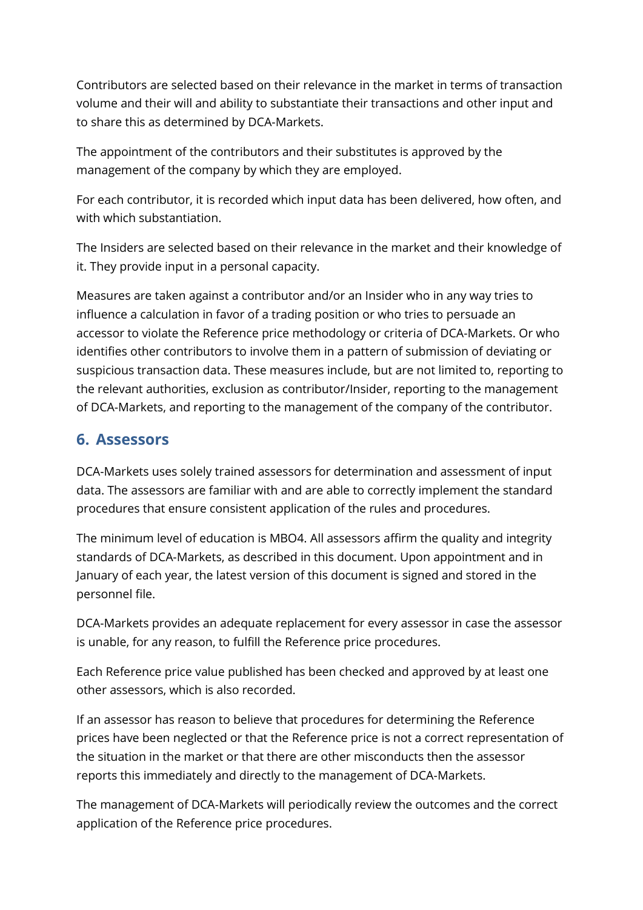Contributors are selected based on their relevance in the market in terms of transaction volume and their will and ability to substantiate their transactions and other input and to share this as determined by DCA-Markets.

The appointment of the contributors and their substitutes is approved by the management of the company by which they are employed.

For each contributor, it is recorded which input data has been delivered, how often, and with which substantiation.

The Insiders are selected based on their relevance in the market and their knowledge of it. They provide input in a personal capacity.

Measures are taken against a contributor and/or an Insider who in any way tries to influence a calculation in favor of a trading position or who tries to persuade an accessor to violate the Reference price methodology or criteria of DCA-Markets. Or who identifies other contributors to involve them in a pattern of submission of deviating or suspicious transaction data. These measures include, but are not limited to, reporting to the relevant authorities, exclusion as contributor/Insider, reporting to the management of DCA-Markets, and reporting to the management of the company of the contributor.

#### **6. Assessors**

DCA-Markets uses solely trained assessors for determination and assessment of input data. The assessors are familiar with and are able to correctly implement the standard procedures that ensure consistent application of the rules and procedures.

The minimum level of education is MBO4. All assessors affirm the quality and integrity standards of DCA-Markets, as described in this document. Upon appointment and in January of each year, the latest version of this document is signed and stored in the personnel file.

DCA-Markets provides an adequate replacement for every assessor in case the assessor is unable, for any reason, to fulfill the Reference price procedures.

Each Reference price value published has been checked and approved by at least one other assessors, which is also recorded.

If an assessor has reason to believe that procedures for determining the Reference prices have been neglected or that the Reference price is not a correct representation of the situation in the market or that there are other misconducts then the assessor reports this immediately and directly to the management of DCA-Markets.

The management of DCA-Markets will periodically review the outcomes and the correct application of the Reference price procedures.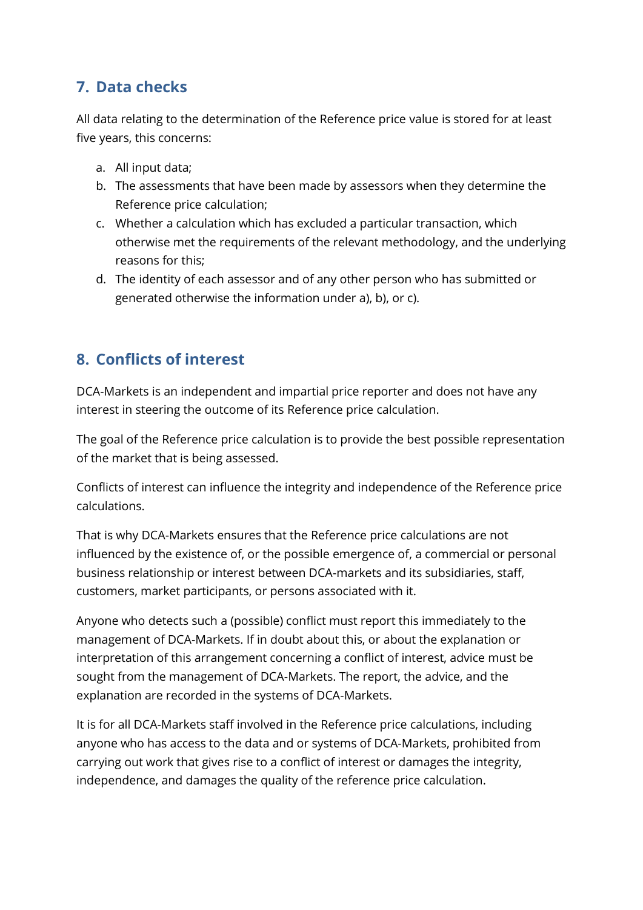## **7. Data checks**

All data relating to the determination of the Reference price value is stored for at least five years, this concerns:

- a. All input data;
- b. The assessments that have been made by assessors when they determine the Reference price calculation;
- c. Whether a calculation which has excluded a particular transaction, which otherwise met the requirements of the relevant methodology, and the underlying reasons for this;
- d. The identity of each assessor and of any other person who has submitted or generated otherwise the information under a), b), or c).

## **8. Conflicts of interest**

DCA-Markets is an independent and impartial price reporter and does not have any interest in steering the outcome of its Reference price calculation.

The goal of the Reference price calculation is to provide the best possible representation of the market that is being assessed.

Conflicts of interest can influence the integrity and independence of the Reference price calculations.

That is why DCA-Markets ensures that the Reference price calculations are not influenced by the existence of, or the possible emergence of, a commercial or personal business relationship or interest between DCA-markets and its subsidiaries, staff, customers, market participants, or persons associated with it.

Anyone who detects such a (possible) conflict must report this immediately to the management of DCA-Markets. If in doubt about this, or about the explanation or interpretation of this arrangement concerning a conflict of interest, advice must be sought from the management of DCA-Markets. The report, the advice, and the explanation are recorded in the systems of DCA-Markets.

It is for all DCA-Markets staff involved in the Reference price calculations, including anyone who has access to the data and or systems of DCA-Markets, prohibited from carrying out work that gives rise to a conflict of interest or damages the integrity, independence, and damages the quality of the reference price calculation.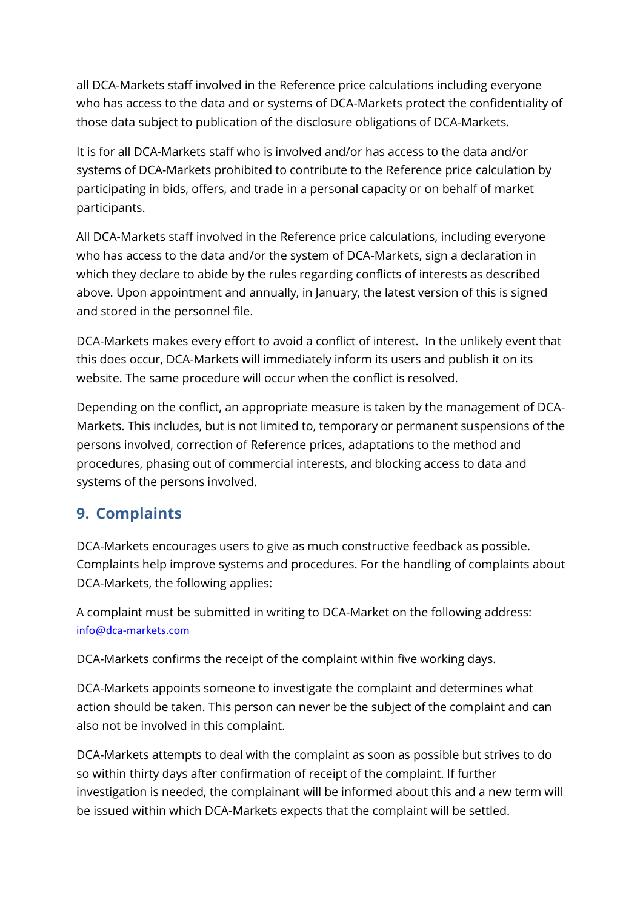all DCA-Markets staff involved in the Reference price calculations including everyone who has access to the data and or systems of DCA-Markets protect the confidentiality of those data subject to publication of the disclosure obligations of DCA-Markets.

It is for all DCA-Markets staff who is involved and/or has access to the data and/or systems of DCA-Markets prohibited to contribute to the Reference price calculation by participating in bids, offers, and trade in a personal capacity or on behalf of market participants.

All DCA-Markets staff involved in the Reference price calculations, including everyone who has access to the data and/or the system of DCA-Markets, sign a declaration in which they declare to abide by the rules regarding conflicts of interests as described above. Upon appointment and annually, in January, the latest version of this is signed and stored in the personnel file.

DCA-Markets makes every effort to avoid a conflict of interest. In the unlikely event that this does occur, DCA-Markets will immediately inform its users and publish it on its website. The same procedure will occur when the conflict is resolved.

Depending on the conflict, an appropriate measure is taken by the management of DCA-Markets. This includes, but is not limited to, temporary or permanent suspensions of the persons involved, correction of Reference prices, adaptations to the method and procedures, phasing out of commercial interests, and blocking access to data and systems of the persons involved.

#### **9. Complaints**

DCA-Markets encourages users to give as much constructive feedback as possible. Complaints help improve systems and procedures. For the handling of complaints about DCA-Markets, the following applies:

A complaint must be submitted in writing to DCA-Market on the following address: [info@dca-markets.com](mailto:info@dca-markets.com)

DCA-Markets confirms the receipt of the complaint within five working days.

DCA-Markets appoints someone to investigate the complaint and determines what action should be taken. This person can never be the subject of the complaint and can also not be involved in this complaint.

DCA-Markets attempts to deal with the complaint as soon as possible but strives to do so within thirty days after confirmation of receipt of the complaint. If further investigation is needed, the complainant will be informed about this and a new term will be issued within which DCA-Markets expects that the complaint will be settled.